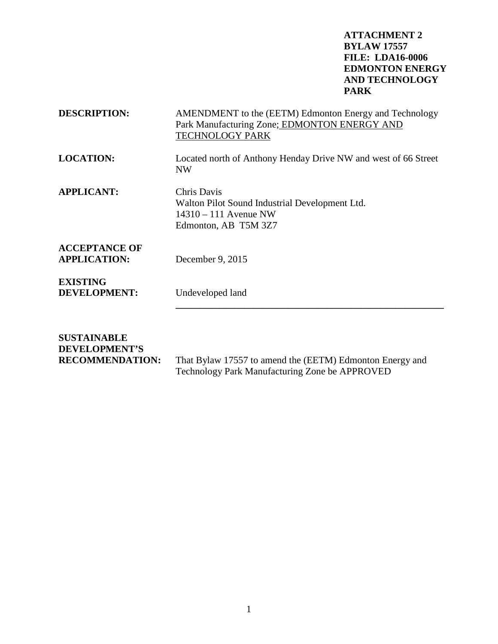| <b>DESCRIPTION:</b>                                    | AMENDMENT to the (EETM) Edmonton Energy and Technology<br>Park Manufacturing Zone; EDMONTON ENERGY AND<br><b>TECHNOLOGY PARK</b> |  |
|--------------------------------------------------------|----------------------------------------------------------------------------------------------------------------------------------|--|
| <b>LOCATION:</b>                                       | Located north of Anthony Henday Drive NW and west of 66 Street<br><b>NW</b>                                                      |  |
| <b>APPLICANT:</b>                                      | Chris Davis<br>Walton Pilot Sound Industrial Development Ltd.<br>$14310 - 111$ Avenue NW<br>Edmonton, AB T5M 3Z7                 |  |
| <b>ACCEPTANCE OF</b><br><b>APPLICATION:</b>            | December 9, 2015                                                                                                                 |  |
| <b>EXISTING</b><br><b>DEVELOPMENT:</b>                 | Undeveloped land                                                                                                                 |  |
| <b>SUSTAINABLE</b><br>DEVELOPMENT'S<br>RECOMMENDATION. | That Rylaw 17557 to amend the (EETM) Edmonton Energy and                                                                         |  |

**RECOMMENDATION:** That Bylaw 17557 to amend the (EETM) Edmonton Energy and Technology Park Manufacturing Zone be APPROVED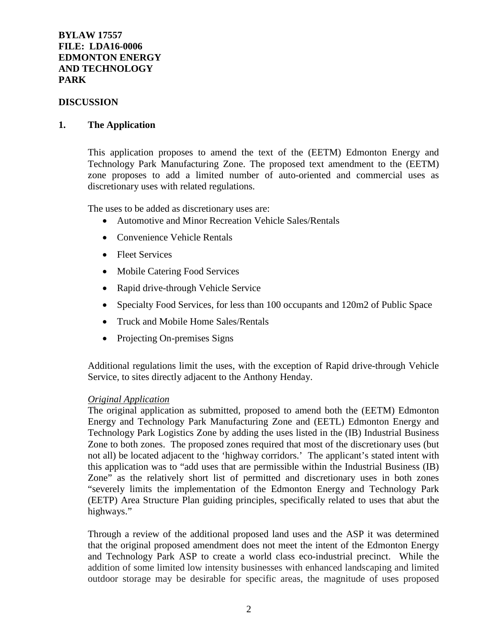### **DISCUSSION**

### **1. The Application**

This application proposes to amend the text of the (EETM) Edmonton Energy and Technology Park Manufacturing Zone. The proposed text amendment to the (EETM) zone proposes to add a limited number of auto-oriented and commercial uses as discretionary uses with related regulations.

The uses to be added as discretionary uses are:

- Automotive and Minor Recreation Vehicle Sales/Rentals
- Convenience Vehicle Rentals
- Fleet Services
- Mobile Catering Food Services
- Rapid drive-through Vehicle Service
- Specialty Food Services, for less than 100 occupants and 120m2 of Public Space
- Truck and Mobile Home Sales/Rentals
- Projecting On-premises Signs

Additional regulations limit the uses, with the exception of Rapid drive-through Vehicle Service, to sites directly adjacent to the Anthony Henday.

### *Original Application*

The original application as submitted, proposed to amend both the (EETM) Edmonton Energy and Technology Park Manufacturing Zone and (EETL) Edmonton Energy and Technology Park Logistics Zone by adding the uses listed in the (IB) Industrial Business Zone to both zones. The proposed zones required that most of the discretionary uses (but not all) be located adjacent to the 'highway corridors.' The applicant's stated intent with this application was to "add uses that are permissible within the Industrial Business (IB) Zone" as the relatively short list of permitted and discretionary uses in both zones "severely limits the implementation of the Edmonton Energy and Technology Park (EETP) Area Structure Plan guiding principles, specifically related to uses that abut the highways."

Through a review of the additional proposed land uses and the ASP it was determined that the original proposed amendment does not meet the intent of the Edmonton Energy and Technology Park ASP to create a world class eco-industrial precinct. While the addition of some limited low intensity businesses with enhanced landscaping and limited outdoor storage may be desirable for specific areas, the magnitude of uses proposed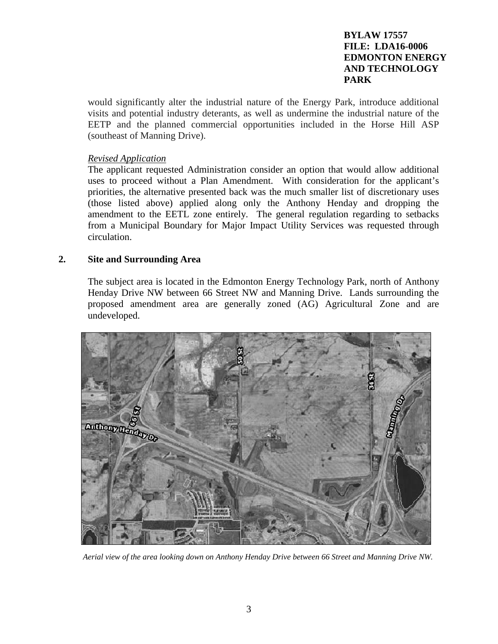would significantly alter the industrial nature of the Energy Park, introduce additional visits and potential industry deterants, as well as undermine the industrial nature of the EETP and the planned commercial opportunities included in the Horse Hill ASP (southeast of Manning Drive).

# *Revised Application*

The applicant requested Administration consider an option that would allow additional uses to proceed without a Plan Amendment. With consideration for the applicant's priorities, the alternative presented back was the much smaller list of discretionary uses (those listed above) applied along only the Anthony Henday and dropping the amendment to the EETL zone entirely. The general regulation regarding to setbacks from a Municipal Boundary for Major Impact Utility Services was requested through circulation.

## **2. Site and Surrounding Area**

The subject area is located in the Edmonton Energy Technology Park, north of Anthony Henday Drive NW between 66 Street NW and Manning Drive. Lands surrounding the proposed amendment area are generally zoned (AG) Agricultural Zone and are undeveloped.



 *Aerial view of the area looking down on Anthony Henday Drive between 66 Street and Manning Drive NW.*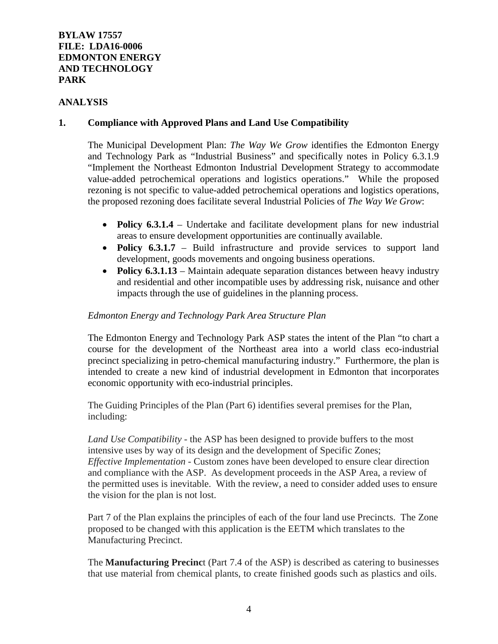## **ANALYSIS**

## **1. Compliance with Approved Plans and Land Use Compatibility**

The Municipal Development Plan: *The Way We Grow* identifies the Edmonton Energy and Technology Park as "Industrial Business" and specifically notes in Policy 6.3.1.9 "Implement the Northeast Edmonton Industrial Development Strategy to accommodate value-added petrochemical operations and logistics operations." While the proposed rezoning is not specific to value-added petrochemical operations and logistics operations, the proposed rezoning does facilitate several Industrial Policies of *The Way We Grow*:

- **Policy 6.3.1.4** Undertake and facilitate development plans for new industrial areas to ensure development opportunities are continually available.
- **Policy 6.3.1.7** Build infrastructure and provide services to support land development, goods movements and ongoing business operations.
- **Policy 6.3.1.13** Maintain adequate separation distances between heavy industry and residential and other incompatible uses by addressing risk, nuisance and other impacts through the use of guidelines in the planning process.

## *Edmonton Energy and Technology Park Area Structure Plan*

The Edmonton Energy and Technology Park ASP states the intent of the Plan "to chart a course for the development of the Northeast area into a world class eco-industrial precinct specializing in petro-chemical manufacturing industry." Furthermore, the plan is intended to create a new kind of industrial development in Edmonton that incorporates economic opportunity with eco-industrial principles.

The Guiding Principles of the Plan (Part 6) identifies several premises for the Plan, including:

*Land Use Compatibility* - the ASP has been designed to provide buffers to the most intensive uses by way of its design and the development of Specific Zones; *Effective Implementation -* Custom zones have been developed to ensure clear direction and compliance with the ASP. As development proceeds in the ASP Area, a review of the permitted uses is inevitable. With the review, a need to consider added uses to ensure the vision for the plan is not lost.

Part 7 of the Plan explains the principles of each of the four land use Precincts. The Zone proposed to be changed with this application is the EETM which translates to the Manufacturing Precinct.

The **Manufacturing Precinc**t (Part 7.4 of the ASP) is described as catering to businesses that use material from chemical plants, to create finished goods such as plastics and oils.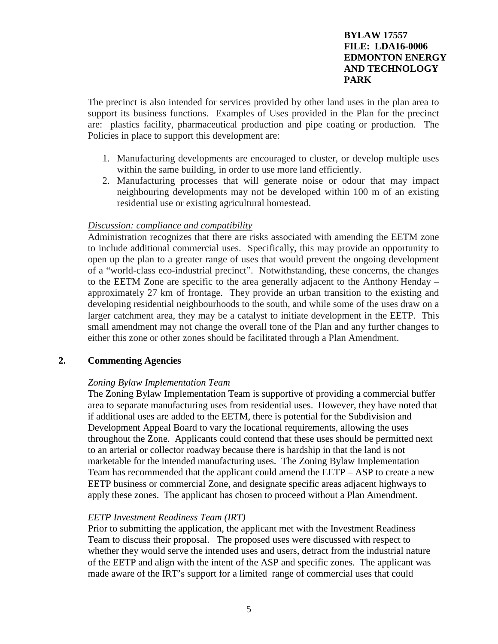The precinct is also intended for services provided by other land uses in the plan area to support its business functions. Examples of Uses provided in the Plan for the precinct are: plastics facility, pharmaceutical production and pipe coating or production. The Policies in place to support this development are:

- 1. Manufacturing developments are encouraged to cluster, or develop multiple uses within the same building, in order to use more land efficiently.
- 2. Manufacturing processes that will generate noise or odour that may impact neighbouring developments may not be developed within 100 m of an existing residential use or existing agricultural homestead.

## *Discussion: compliance and compatibility*

Administration recognizes that there are risks associated with amending the EETM zone to include additional commercial uses. Specifically, this may provide an opportunity to open up the plan to a greater range of uses that would prevent the ongoing development of a "world-class eco-industrial precinct". Notwithstanding, these concerns, the changes to the EETM Zone are specific to the area generally adjacent to the Anthony Henday – approximately 27 km of frontage. They provide an urban transition to the existing and developing residential neighbourhoods to the south, and while some of the uses draw on a larger catchment area, they may be a catalyst to initiate development in the EETP. This small amendment may not change the overall tone of the Plan and any further changes to either this zone or other zones should be facilitated through a Plan Amendment.

## **2. Commenting Agencies**

## *Zoning Bylaw Implementation Team*

The Zoning Bylaw Implementation Team is supportive of providing a commercial buffer area to separate manufacturing uses from residential uses. However, they have noted that if additional uses are added to the EETM, there is potential for the Subdivision and Development Appeal Board to vary the locational requirements, allowing the uses throughout the Zone. Applicants could contend that these uses should be permitted next to an arterial or collector roadway because there is hardship in that the land is not marketable for the intended manufacturing uses. The Zoning Bylaw Implementation Team has recommended that the applicant could amend the EETP – ASP to create a new EETP business or commercial Zone, and designate specific areas adjacent highways to apply these zones. The applicant has chosen to proceed without a Plan Amendment.

## *EETP Investment Readiness Team (IRT)*

Prior to submitting the application, the applicant met with the Investment Readiness Team to discuss their proposal. The proposed uses were discussed with respect to whether they would serve the intended uses and users, detract from the industrial nature of the EETP and align with the intent of the ASP and specific zones. The applicant was made aware of the IRT's support for a limited range of commercial uses that could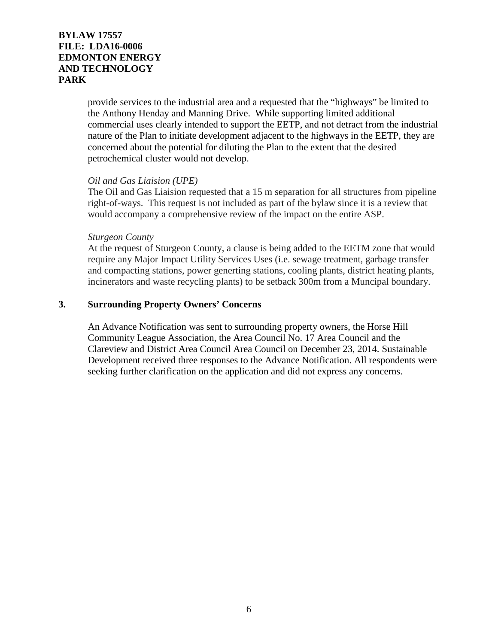provide services to the industrial area and a requested that the "highways" be limited to the Anthony Henday and Manning Drive. While supporting limited additional commercial uses clearly intended to support the EETP, and not detract from the industrial nature of the Plan to initiate development adjacent to the highways in the EETP, they are concerned about the potential for diluting the Plan to the extent that the desired petrochemical cluster would not develop.

### *Oil and Gas Liaision (UPE)*

The Oil and Gas Liaision requested that a 15 m separation for all structures from pipeline right-of-ways. This request is not included as part of the bylaw since it is a review that would accompany a comprehensive review of the impact on the entire ASP.

### *Sturgeon County*

At the request of Sturgeon County, a clause is being added to the EETM zone that would require any Major Impact Utility Services Uses (i.e. sewage treatment, garbage transfer and compacting stations, power generting stations, cooling plants, district heating plants, incinerators and waste recycling plants) to be setback 300m from a Muncipal boundary.

## **3. Surrounding Property Owners' Concerns**

An Advance Notification was sent to surrounding property owners, the Horse Hill Community League Association, the Area Council No. 17 Area Council and the Clareview and District Area Council Area Council on December 23, 2014. Sustainable Development received three responses to the Advance Notification. All respondents were seeking further clarification on the application and did not express any concerns.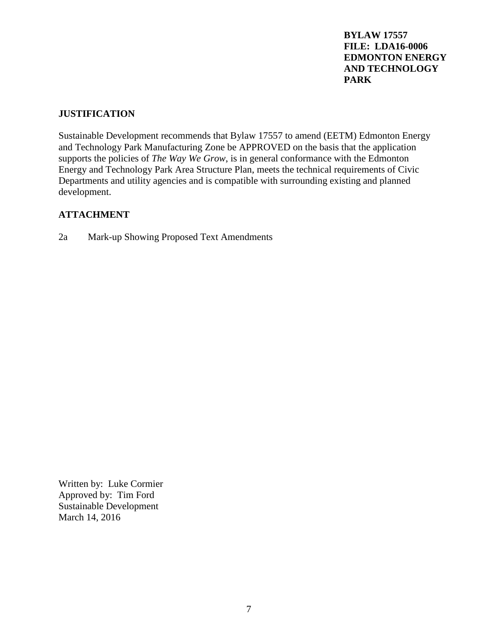## **JUSTIFICATION**

Sustainable Development recommends that Bylaw 17557 to amend (EETM) Edmonton Energy and Technology Park Manufacturing Zone be APPROVED on the basis that the application supports the policies of *The Way We Grow*, is in general conformance with the Edmonton Energy and Technology Park Area Structure Plan, meets the technical requirements of Civic Departments and utility agencies and is compatible with surrounding existing and planned development.

# **ATTACHMENT**

2a Mark-up Showing Proposed Text Amendments

Written by: Luke Cormier Approved by: Tim Ford Sustainable Development March 14, 2016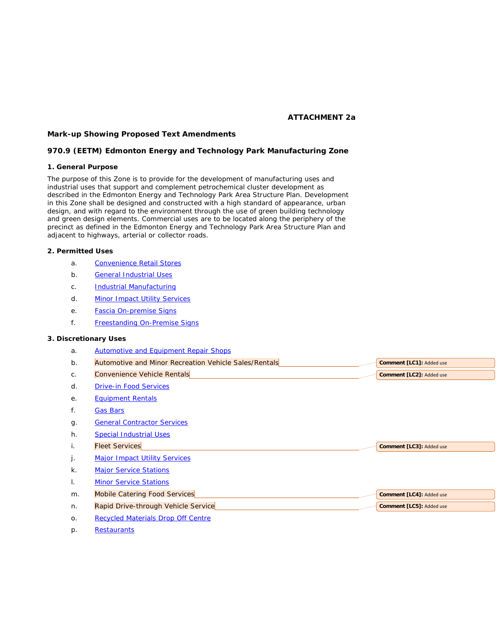#### *ATTACHMENT 2a*

**Comment [LC1]:** Added use **Comment [LC2]:** Added use

**Comment [LC3]:** Added use

**Comment [LC4]:** Added use

#### *Mark-up Showing Proposed Text Amendments*

#### *970.9 (EETM) Edmonton Energy and Technology Park Manufacturing Zone*

#### **1. General Purpose**

The purpose of this Zone is to provide for the development of manufacturing uses and industrial uses that support and complement petrochemical cluster development as described in the Edmonton Energy and Technology Park Area Structure Plan. Development in this Zone shall be designed and constructed with a high standard of appearance, urban design, and with regard to the environment through the use of green building technology and green design elements. Commercial uses are to be located along the periphery of the precinct as defined in the Edmonton Energy and Technology Park Area Structure Plan and adjacent to highways, arterial or collector roads.

#### **2. Permitted Uses**

- a. [Convenience Retail Stores](javascript:BSSCPopup()
- b. [General Industrial Uses](javascript:BSSCPopup()
- c. **[Industrial Manufacturing](javascript:BSSCPopup()**
- d. [Minor Impact Utility Services](javascript:BSSCPopup()
- e. [Fascia On-premise Signs](javascript:BSSCPopup()
- f. [Freestanding On-Premise Signs](javascript:BSSCPopup()

#### **3. Discretionary Uses**

- a. [Automotive and Equipment Repair Shops](javascript:BSSCPopup()
- b. Automotive and Minor Recreation Vehicle Sales/Rentals
- c. Convenience Vehicle Rentals
- d. [Drive-in Food Services](javascript:BSSCPopup()
- e. [Equipment Rentals](javascript:BSSCPopup()
- f. [Gas Bars](javascript:BSSCPopup()
- g. [General Contractor Services](javascript:BSSCPopup()
- h. [Special Industrial Uses](javascript:BSSCPopup()
- i. Fleet Services
- j. [Major Impact Utility Services](javascript:BSSCPopup()
- k. [Major Service Stations](javascript:BSSCPopup()
- I. [Minor Service Stations](javascript:BSSCPopup()
- m. Mobile Catering Food Services
- n. Rapid Drive-through Vehicle Service **Comment [LC5]:** Added use
- o. [Recycled Materials Drop Off Centre](javascript:BSSCPopup()
- p. [Restaurants](javascript:BSSCPopup()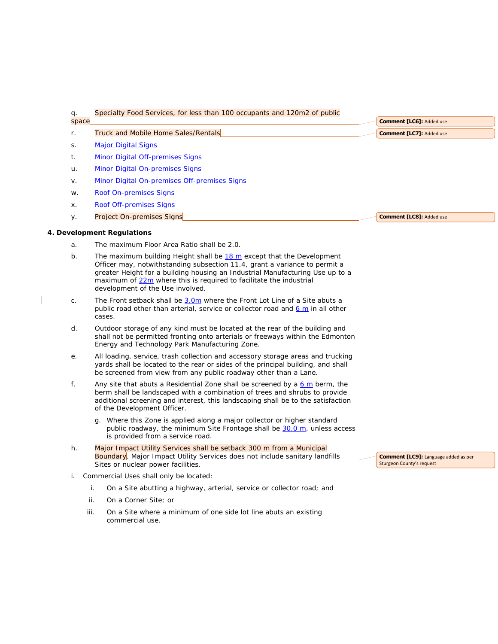| q.    | Specialty Food Services, for less than 100 occupants and 120m2 of public                                                                                                                                                                                                                                                                       |                                                                          |
|-------|------------------------------------------------------------------------------------------------------------------------------------------------------------------------------------------------------------------------------------------------------------------------------------------------------------------------------------------------|--------------------------------------------------------------------------|
| space |                                                                                                                                                                                                                                                                                                                                                | Comment [LC6]: Added use                                                 |
| r.    | <b>Truck and Mobile Home Sales/Rentals</b>                                                                                                                                                                                                                                                                                                     | Comment [LC7]: Added use                                                 |
| S.    | <b>Major Digital Signs</b>                                                                                                                                                                                                                                                                                                                     |                                                                          |
| t.    | <b>Minor Digital Off-premises Signs</b>                                                                                                                                                                                                                                                                                                        |                                                                          |
| u.    | <b>Minor Digital On-premises Signs</b>                                                                                                                                                                                                                                                                                                         |                                                                          |
| v.    | Minor Digital On-premises Off-premises Signs                                                                                                                                                                                                                                                                                                   |                                                                          |
| W.    | <b>Roof On-premises Signs</b>                                                                                                                                                                                                                                                                                                                  |                                                                          |
| X.    | <b>Roof Off-premises Signs</b>                                                                                                                                                                                                                                                                                                                 |                                                                          |
| у.    | Project On-premises Signs                                                                                                                                                                                                                                                                                                                      | Comment [LC8]: Added use                                                 |
|       | 4. Development Regulations                                                                                                                                                                                                                                                                                                                     |                                                                          |
| a.    | The maximum Floor Area Ratio shall be 2.0.                                                                                                                                                                                                                                                                                                     |                                                                          |
| b.    | The maximum building Height shall be 18 m except that the Development<br>Officer may, notwithstanding subsection 11.4, grant a variance to permit a<br>greater Height for a building housing an Industrial Manufacturing Use up to a<br>maximum of 22m where this is required to facilitate the industrial<br>development of the Use involved. |                                                                          |
| C.    | The Front setback shall be 3.0m where the Front Lot Line of a Site abuts a<br>public road other than arterial, service or collector road and $6 \text{ m}$ in all other<br>cases.                                                                                                                                                              |                                                                          |
| d.    | Outdoor storage of any kind must be located at the rear of the building and<br>shall not be permitted fronting onto arterials or freeways within the Edmonton<br>Energy and Technology Park Manufacturing Zone.                                                                                                                                |                                                                          |
| е.    | All loading, service, trash collection and accessory storage areas and trucking<br>yards shall be located to the rear or sides of the principal building, and shall<br>be screened from view from any public roadway other than a Lane.                                                                                                        |                                                                          |
| f.    | Any site that abuts a Residential Zone shall be screened by a 6 m berm, the<br>berm shall be landscaped with a combination of trees and shrubs to provide<br>additional screening and interest, this landscaping shall be to the satisfaction<br>of the Development Officer.                                                                   |                                                                          |
|       | g. Where this Zone is applied along a major collector or higher standard<br>public roadway, the minimum Site Frontage shall be 30.0 m, unless access<br>is provided from a service road.                                                                                                                                                       |                                                                          |
| h.    | Major Impact Utility Services shall be setback 300 m from a Municipal<br><b>Boundary</b> . Major Impact Utility Services does not include sanitary landfills<br>Sites or nuclear power facilities.                                                                                                                                             | Comment [LC9]: Language added as per<br><b>Sturgeon County's request</b> |
| i.    | Commercial Uses shall only be located:                                                                                                                                                                                                                                                                                                         |                                                                          |
|       | i.<br>On a Site abutting a highway, arterial, service or collector road; and                                                                                                                                                                                                                                                                   |                                                                          |
|       | ii.<br>On a Corner Site; or                                                                                                                                                                                                                                                                                                                    |                                                                          |
| iii.  | On a Site where a minimum of one side lot line abuts an existing<br>commercial use.                                                                                                                                                                                                                                                            |                                                                          |

 $\mathbf I$